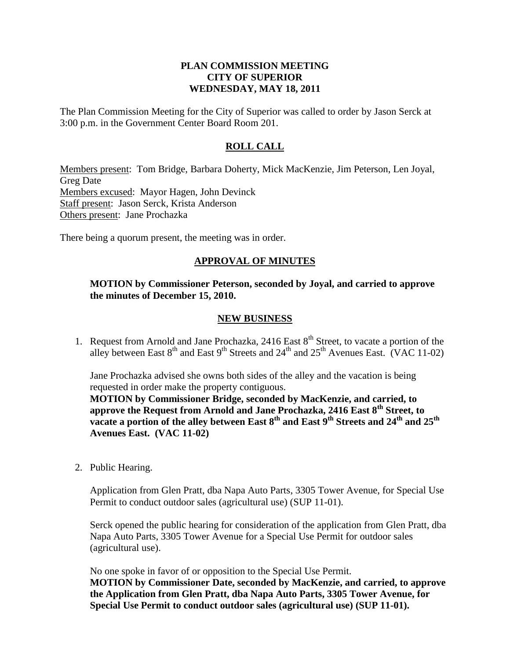## **PLAN COMMISSION MEETING CITY OF SUPERIOR WEDNESDAY, MAY 18, 2011**

The Plan Commission Meeting for the City of Superior was called to order by Jason Serck at 3:00 p.m. in the Government Center Board Room 201.

# **ROLL CALL**

Members present: Tom Bridge, Barbara Doherty, Mick MacKenzie, Jim Peterson, Len Joyal, Greg Date Members excused: Mayor Hagen, John Devinck Staff present: Jason Serck, Krista Anderson Others present: Jane Prochazka

There being a quorum present, the meeting was in order.

# **APPROVAL OF MINUTES**

### **MOTION by Commissioner Peterson, seconded by Joyal, and carried to approve the minutes of December 15, 2010.**

#### **NEW BUSINESS**

1. Request from Arnold and Jane Prochazka, 2416 East 8<sup>th</sup> Street, to vacate a portion of the alley between East  $8<sup>th</sup>$  and East  $9<sup>th</sup>$  Streets and  $24<sup>th</sup>$  and  $25<sup>th</sup>$  Avenues East. (VAC 11-02)

Jane Prochazka advised she owns both sides of the alley and the vacation is being requested in order make the property contiguous.

**MOTION by Commissioner Bridge, seconded by MacKenzie, and carried, to approve the Request from Arnold and Jane Prochazka, 2416 East 8th Street, to vacate a portion of the alley between East 8th and East 9th Streets and 24th and 25th Avenues East. (VAC 11-02)** 

2. Public Hearing.

Application from Glen Pratt, dba Napa Auto Parts, 3305 Tower Avenue, for Special Use Permit to conduct outdoor sales (agricultural use) (SUP 11-01).

Serck opened the public hearing for consideration of the application from Glen Pratt, dba Napa Auto Parts, 3305 Tower Avenue for a Special Use Permit for outdoor sales (agricultural use).

No one spoke in favor of or opposition to the Special Use Permit. **MOTION by Commissioner Date, seconded by MacKenzie, and carried, to approve the Application from Glen Pratt, dba Napa Auto Parts, 3305 Tower Avenue, for Special Use Permit to conduct outdoor sales (agricultural use) (SUP 11-01).**